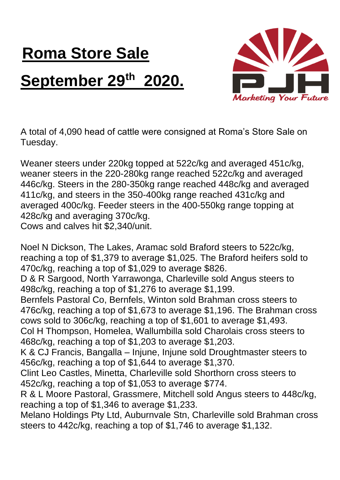## **Roma Store Sale September 29th 2020.**



A total of 4,090 head of cattle were consigned at Roma's Store Sale on Tuesday.

Weaner steers under 220kg topped at 522c/kg and averaged 451c/kg, weaner steers in the 220-280kg range reached 522c/kg and averaged 446c/kg. Steers in the 280-350kg range reached 448c/kg and averaged 411c/kg, and steers in the 350-400kg range reached 431c/kg and averaged 400c/kg. Feeder steers in the 400-550kg range topping at 428c/kg and averaging 370c/kg. Cows and calves hit \$2,340/unit.

Noel N Dickson, The Lakes, Aramac sold Braford steers to 522c/kg, reaching a top of \$1,379 to average \$1,025. The Braford heifers sold to 470c/kg, reaching a top of \$1,029 to average \$826.

D & R Sargood, North Yarrawonga, Charleville sold Angus steers to 498c/kg, reaching a top of \$1,276 to average \$1,199.

Bernfels Pastoral Co, Bernfels, Winton sold Brahman cross steers to 476c/kg, reaching a top of \$1,673 to average \$1,196. The Brahman cross cows sold to 306c/kg, reaching a top of \$1,601 to average \$1,493.

Col H Thompson, Homelea, Wallumbilla sold Charolais cross steers to 468c/kg, reaching a top of \$1,203 to average \$1,203.

K & CJ Francis, Bangalla – Injune, Injune sold Droughtmaster steers to 456c/kg, reaching a top of \$1,644 to average \$1,370.

Clint Leo Castles, Minetta, Charleville sold Shorthorn cross steers to 452c/kg, reaching a top of \$1,053 to average \$774.

R & L Moore Pastoral, Grassmere, Mitchell sold Angus steers to 448c/kg, reaching a top of \$1,346 to average \$1,233.

Melano Holdings Pty Ltd, Auburnvale Stn, Charleville sold Brahman cross steers to 442c/kg, reaching a top of \$1,746 to average \$1,132.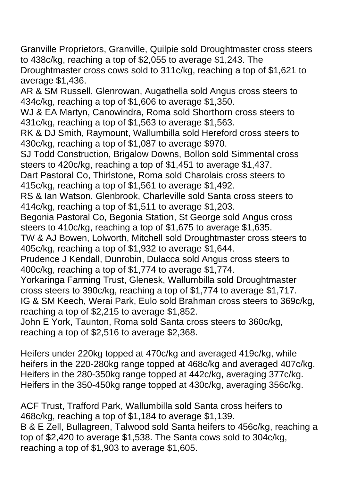Granville Proprietors, Granville, Quilpie sold Droughtmaster cross steers to 438c/kg, reaching a top of \$2,055 to average \$1,243. The

Droughtmaster cross cows sold to 311c/kg, reaching a top of \$1,621 to average \$1,436.

AR & SM Russell, Glenrowan, Augathella sold Angus cross steers to 434c/kg, reaching a top of \$1,606 to average \$1,350.

WJ & EA Martyn, Canowindra, Roma sold Shorthorn cross steers to 431c/kg, reaching a top of \$1,563 to average \$1,563.

RK & DJ Smith, Raymount, Wallumbilla sold Hereford cross steers to 430c/kg, reaching a top of \$1,087 to average \$970.

SJ Todd Construction, Brigalow Downs, Bollon sold Simmental cross steers to 420c/kg, reaching a top of \$1,451 to average \$1,437.

Dart Pastoral Co, Thirlstone, Roma sold Charolais cross steers to 415c/kg, reaching a top of \$1,561 to average \$1,492.

RS & Ian Watson, Glenbrook, Charleville sold Santa cross steers to 414c/kg, reaching a top of \$1,511 to average \$1,203.

Begonia Pastoral Co, Begonia Station, St George sold Angus cross steers to 410c/kg, reaching a top of \$1,675 to average \$1,635.

TW & AJ Bowen, Lolworth, Mitchell sold Droughtmaster cross steers to 405c/kg, reaching a top of \$1,932 to average \$1,644.

Prudence J Kendall, Dunrobin, Dulacca sold Angus cross steers to 400c/kg, reaching a top of \$1,774 to average \$1,774.

Yorkaringa Farming Trust, Glenesk, Wallumbilla sold Droughtmaster cross steers to 390c/kg, reaching a top of \$1,774 to average \$1,717. IG & SM Keech, Werai Park, Eulo sold Brahman cross steers to 369c/kg, reaching a top of \$2,215 to average \$1,852.

John E York, Taunton, Roma sold Santa cross steers to 360c/kg, reaching a top of \$2,516 to average \$2,368.

Heifers under 220kg topped at 470c/kg and averaged 419c/kg, while heifers in the 220-280kg range topped at 468c/kg and averaged 407c/kg. Heifers in the 280-350kg range topped at 442c/kg, averaging 377c/kg. Heifers in the 350-450kg range topped at 430c/kg, averaging 356c/kg.

ACF Trust, Trafford Park, Wallumbilla sold Santa cross heifers to 468c/kg, reaching a top of \$1,184 to average \$1,139. B & E Zell, Bullagreen, Talwood sold Santa heifers to 456c/kg, reaching a top of \$2,420 to average \$1,538. The Santa cows sold to 304c/kg, reaching a top of \$1,903 to average \$1,605.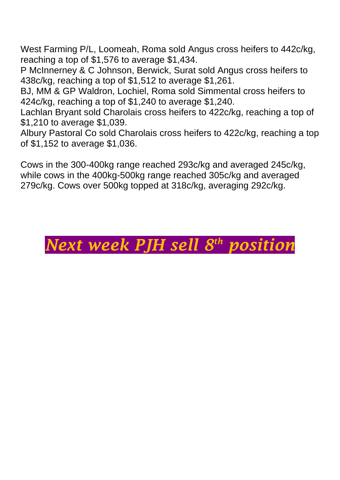West Farming P/L, Loomeah, Roma sold Angus cross heifers to 442c/kg, reaching a top of \$1,576 to average \$1,434.

P McInnerney & C Johnson, Berwick, Surat sold Angus cross heifers to 438c/kg, reaching a top of \$1,512 to average \$1,261.

BJ, MM & GP Waldron, Lochiel, Roma sold Simmental cross heifers to 424c/kg, reaching a top of \$1,240 to average \$1,240.

Lachlan Bryant sold Charolais cross heifers to 422c/kg, reaching a top of \$1,210 to average \$1,039.

Albury Pastoral Co sold Charolais cross heifers to 422c/kg, reaching a top of \$1,152 to average \$1,036.

Cows in the 300-400kg range reached 293c/kg and averaged 245c/kg, while cows in the 400kg-500kg range reached 305c/kg and averaged 279c/kg. Cows over 500kg topped at 318c/kg, averaging 292c/kg.

## *Next week PJH sell 8 th position*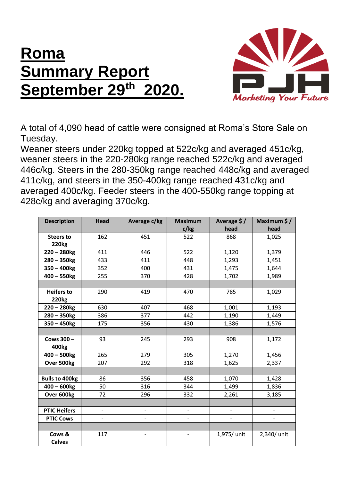## **Roma Summary Report September 29th 2020.**



A total of 4,090 head of cattle were consigned at Roma's Store Sale on Tuesday.

Weaner steers under 220kg topped at 522c/kg and averaged 451c/kg, weaner steers in the 220-280kg range reached 522c/kg and averaged 446c/kg. Steers in the 280-350kg range reached 448c/kg and averaged 411c/kg, and steers in the 350-400kg range reached 431c/kg and averaged 400c/kg. Feeder steers in the 400-550kg range topping at 428c/kg and averaging 370c/kg.

| <b>Description</b>                | <b>Head</b>       | Average c/kg      | <b>Maximum</b><br>c/kg       | Average $$/$<br>head         | Maximum \$/<br>head      |
|-----------------------------------|-------------------|-------------------|------------------------------|------------------------------|--------------------------|
| <b>Steers to</b><br><b>220kg</b>  | 162               | 451               | 522                          | 868                          | 1,025                    |
| $220 - 280$ kg                    | 411               | 446               | 522                          | 1,120                        | 1,379                    |
| $280 - 350$ kg                    | 433               | 411               | 448                          | 1,293                        | 1,451                    |
| $350 - 400$ kg                    | 352               | 400               | 431                          | 1,475                        | 1,644                    |
| $400 - 550$ kg                    | 255               | 370               | 428                          | 1,702                        | 1,989                    |
|                                   |                   |                   |                              |                              |                          |
| <b>Heifers to</b><br><b>220kg</b> | 290               | 419               | 470                          | 785                          | 1,029                    |
| $220 - 280$ kg                    | 630               | 407               | 468                          | 1,001                        | 1,193                    |
| $280 - 350$ kg                    | 386               | 377               | 442                          | 1,190                        | 1,449                    |
| $350 - 450$ kg                    | 175               | 356               | 430                          | 1,386                        | 1,576                    |
|                                   |                   |                   |                              |                              |                          |
| Cows 300 -<br>400 <sub>kg</sub>   | 93                | 245               | 293                          | 908                          | 1,172                    |
| $400 - 500$ kg                    | 265               | 279               | 305                          | 1,270                        | 1,456                    |
| Over 500kg                        | 207               | 292               | 318                          | 1,625                        | 2,337                    |
|                                   |                   |                   |                              |                              |                          |
| <b>Bulls to 400kg</b>             | 86                | 356               | 458                          | 1,070                        | 1,428                    |
| $400 - 600$ kg                    | 50                | 316               | 344                          | 1,499                        | 1,836                    |
| Over 600kg                        | 72                | 296               | 332                          | 2,261                        | 3,185                    |
|                                   |                   |                   |                              |                              |                          |
| <b>PTIC Heifers</b>               | $\qquad \qquad -$ | $\qquad \qquad -$ | $\qquad \qquad \blacksquare$ | $\qquad \qquad \blacksquare$ | $\overline{\phantom{0}}$ |
| <b>PTIC Cows</b>                  |                   |                   |                              |                              |                          |
|                                   |                   |                   |                              |                              |                          |
| Cows &<br><b>Calves</b>           | 117               |                   |                              | 1,975/ unit                  | 2,340/ unit              |